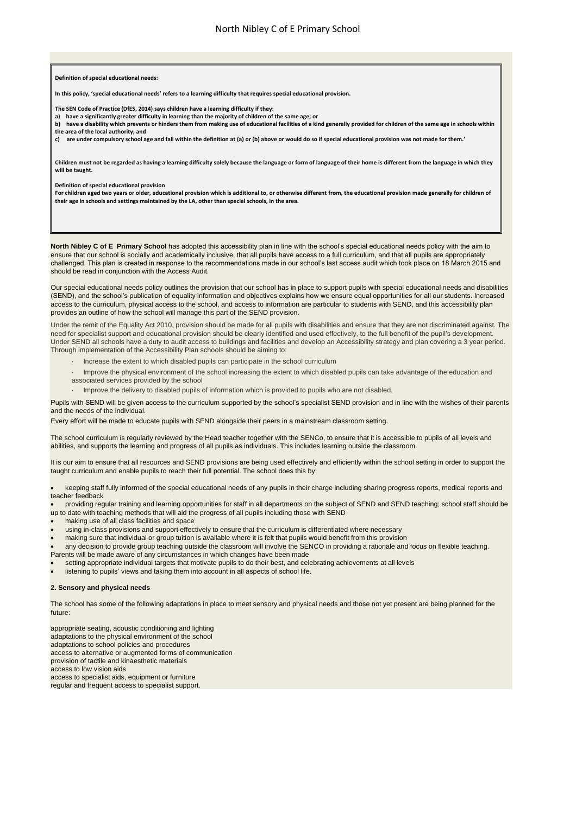**North Nibley C of E Primary School** has adopted this accessibility plan in line with the school's special educational needs policy with the aim to ensure that our school is socially and academically inclusive, that all pupils have access to a full curriculum, and that all pupils are appropriately challenged. This plan is created in response to the recommendations made in our school's last access audit which took place on 18 March 2015 and should be read in conjunction with the Access Audit.

Our special educational needs policy outlines the provision that our school has in place to support pupils with special educational needs and disabilities (SEND), and the school's publication of equality information and objectives explains how we ensure equal opportunities for all our students. Increased access to the curriculum, physical access to the school, and access to information are particular to students with SEND, and this accessibility plan provides an outline of how the school will manage this part of the SEND provision.

Under the remit of the Equality Act 2010, provision should be made for all pupils with disabilities and ensure that they are not discriminated against. The need for specialist support and educational provision should be clearly identified and used effectively, to the full benefit of the pupil's development. Under SEND all schools have a duty to audit access to buildings and facilities and develop an Accessibility strategy and plan covering a 3 year period. Through implementation of the Accessibility Plan schools should be aiming to:

- · Increase the extent to which disabled pupils can participate in the school curriculum
- · Improve the physical environment of the school increasing the extent to which disabled pupils can take advantage of the education and associated services provided by the school
- · Improve the delivery to disabled pupils of information which is provided to pupils who are not disabled.

Pupils with SEND will be given access to the curriculum supported by the school's specialist SEND provision and in line with the wishes of their parents and the needs of the individual.

Every effort will be made to educate pupils with SEND alongside their peers in a mainstream classroom setting.

The school curriculum is regularly reviewed by the Head teacher together with the SENCo, to ensure that it is accessible to pupils of all levels and abilities, and supports the learning and progress of all pupils as individuals. This includes learning outside the classroom.

It is our aim to ensure that all resources and SEND provisions are being used effectively and efficiently within the school setting in order to support the taught curriculum and enable pupils to reach their full potential. The school does this by:

 keeping staff fully informed of the special educational needs of any pupils in their charge including sharing progress reports, medical reports and teacher feedback

 providing regular training and learning opportunities for staff in all departments on the subject of SEND and SEND teaching; school staff should be up to date with teaching methods that will aid the progress of all pupils including those with SEND

- making use of all class facilities and space
- using in-class provisions and support effectively to ensure that the curriculum is differentiated where necessary
- making sure that individual or group tuition is available where it is felt that pupils would benefit from this provision

 any decision to provide group teaching outside the classroom will involve the SENCO in providing a rationale and focus on flexible teaching. Parents will be made aware of any circumstances in which changes have been made

- setting appropriate individual targets that motivate pupils to do their best, and celebrating achievements at all levels
- listening to pupils' views and taking them into account in all aspects of school life.

#### **2. Sensory and physical needs**

The school has some of the following adaptations in place to meet sensory and physical needs and those not yet present are being planned for the future:

appropriate seating, acoustic conditioning and lighting adaptations to the physical environment of the school adaptations to school policies and procedures access to alternative or augmented forms of communication provision of tactile and kinaesthetic materials access to low vision aids access to specialist aids, equipment or furniture regular and frequent access to specialist support.

**Definition of special educational needs:**

**In this policy, 'special educational needs' refers to a learning difficulty that requires special educational provision.**

**The SEN Code of Practice (DfES, 2014) says children have a learning difficulty if they:**

**a) have a significantly greater difficulty in learning than the majority of children of the same age; or**

**b) have a disability which prevents or hinders them from making use of educational facilities of a kind generally provided for children of the same age in schools within the area of the local authority; and**

**c) are under compulsory school age and fall within the definition at (a) or (b) above or would do so if special educational provision was not made for them.'**

**Children must not be regarded as having a learning difficulty solely because the language or form of language of their home is different from the language in which they will be taught.**

**Definition of special educational provision**

**For children aged two years or older, educational provision which is additional to, or otherwise different from, the educational provision made generally for children of their age in schools and settings maintained by the LA, other than special schools, in the area.**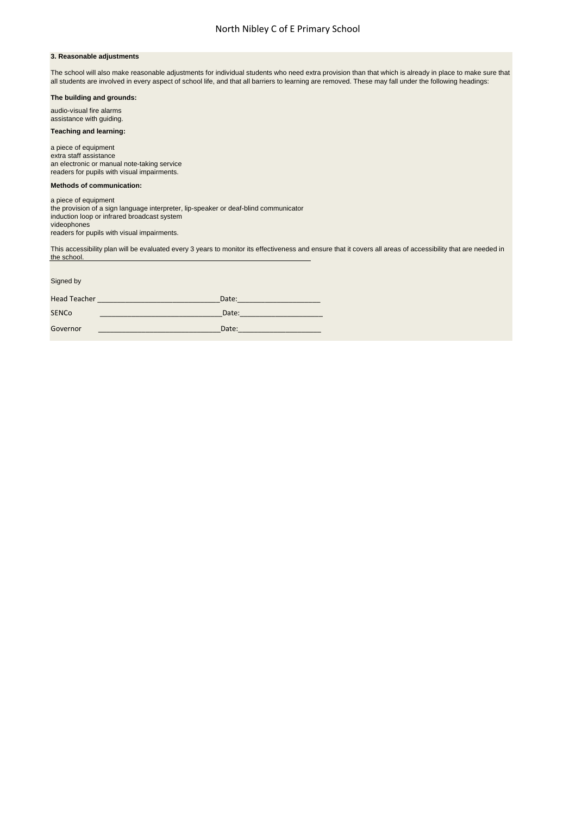#### **3. Reasonable adjustments**

The school will also make reasonable adjustments for individual students who need extra provision than that which is already in place to make sure that all students are involved in every aspect of school life, and that all barriers to learning are removed. These may fall under the following headings:

# **The building and grounds:**

audio-visual fire alarms assistance with guiding.

This accessibility plan will be evaluated every 3 years to monitor its effectiveness and ensure that it covers all areas of accessibility that are needed in the school.

## **Teaching and learning:**

a piece of equipment extra staff assistance an electronic or manual note-taking service readers for pupils with visual impairments.

#### **Methods of communication:**

| a piece of equipment                                                                 |
|--------------------------------------------------------------------------------------|
| the provision of a sign language interpreter, lip-speaker or deaf-blind communicator |
| induction loop or infrared broadcast system                                          |
| videophones                                                                          |
| readers for pupils with visual impairments.                                          |

Signed by Head Teacher \_\_\_\_\_\_\_\_\_\_\_\_\_\_\_\_\_\_\_\_\_\_\_\_\_\_\_\_\_\_\_Date:\_\_\_\_\_\_\_\_\_\_\_\_\_\_\_\_\_\_\_\_\_ SENCo \_\_\_\_\_\_\_\_\_\_\_\_\_\_\_\_\_\_\_\_\_\_\_\_\_\_\_\_\_\_\_Date:\_\_\_\_\_\_\_\_\_\_\_\_\_\_\_\_\_\_\_\_\_ Governor \_\_\_\_\_\_\_\_\_\_\_\_\_\_\_\_\_\_\_\_\_\_\_\_\_\_\_\_\_\_\_Date:\_\_\_\_\_\_\_\_\_\_\_\_\_\_\_\_\_\_\_\_\_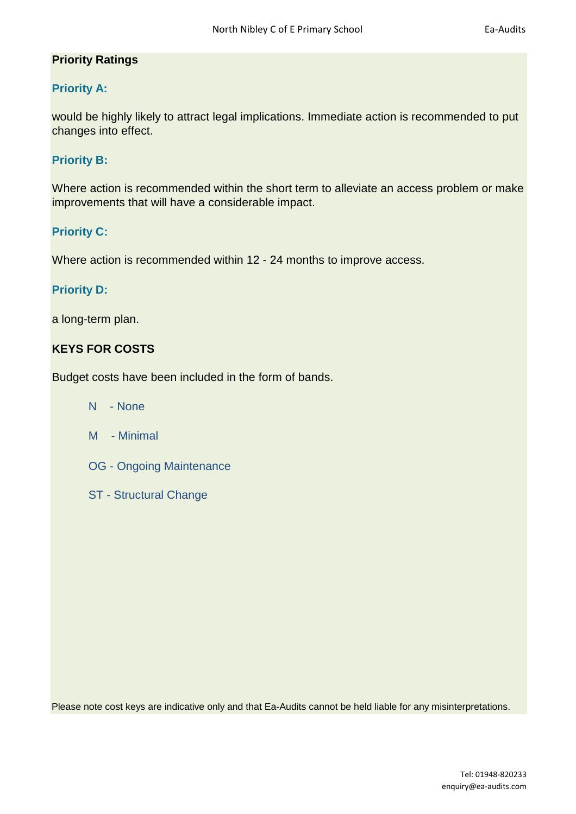## **Priority Ratings**

## **Priority A:**

would be highly likely to attract legal implications. Immediate action is recommended to put changes into effect.

#### **Priority B:**

Where action is recommended within the short term to alleviate an access problem or make improvements that will have a considerable impact.

#### **Priority C:**

Where action is recommended within 12 - 24 months to improve access.

#### **Priority D:**

a long-term plan.

## **KEYS FOR COSTS**

Budget costs have been included in the form of bands.

- N None
- M Minimal
- OG Ongoing Maintenance
- ST Structural Change

Please note cost keys are indicative only and that Ea-Audits cannot be held liable for any misinterpretations.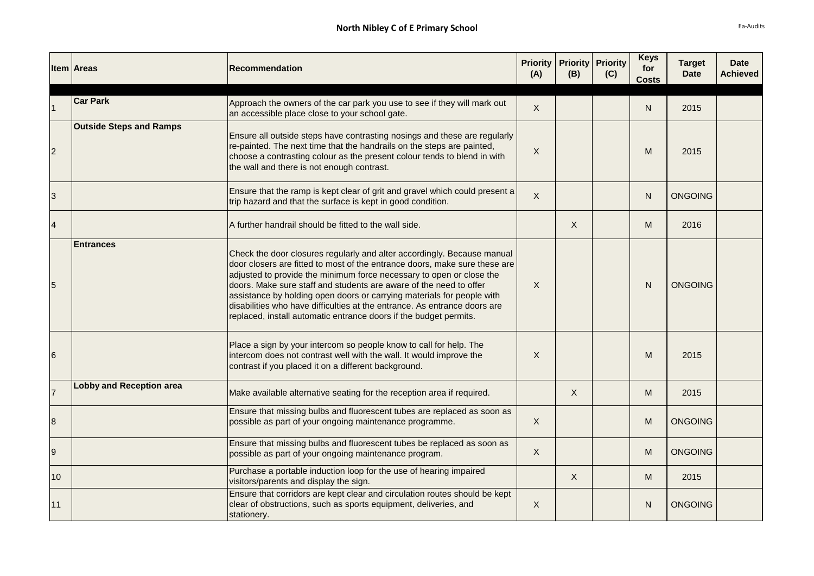|           | <b>Item Areas</b>               | <b>Recommendation</b>                                                                                                                                                                                                                                                                                                                                                                                                                                                                                                           | (A)     | <b>Priority   Priority  </b><br>(B) | <b>Priority</b><br>(C) | <b>Keys</b><br>for<br><b>Costs</b> | <b>Target</b><br><b>Date</b> | <b>Date</b><br><b>Achieved</b> |
|-----------|---------------------------------|---------------------------------------------------------------------------------------------------------------------------------------------------------------------------------------------------------------------------------------------------------------------------------------------------------------------------------------------------------------------------------------------------------------------------------------------------------------------------------------------------------------------------------|---------|-------------------------------------|------------------------|------------------------------------|------------------------------|--------------------------------|
|           | <b>Car Park</b>                 | Approach the owners of the car park you use to see if they will mark out<br>an accessible place close to your school gate.                                                                                                                                                                                                                                                                                                                                                                                                      | X       |                                     |                        | N                                  | 2015                         |                                |
|           | <b>Outside Steps and Ramps</b>  | Ensure all outside steps have contrasting nosings and these are regularly<br>re-painted. The next time that the handrails on the steps are painted,<br>choose a contrasting colour as the present colour tends to blend in with<br>the wall and there is not enough contrast.                                                                                                                                                                                                                                                   | X       |                                     |                        | M                                  | 2015                         |                                |
| 3         |                                 | Ensure that the ramp is kept clear of grit and gravel which could present a<br>trip hazard and that the surface is kept in good condition.                                                                                                                                                                                                                                                                                                                                                                                      | $\sf X$ |                                     |                        | N                                  | <b>ONGOING</b>               |                                |
| $\vert 4$ |                                 | A further handrail should be fitted to the wall side.                                                                                                                                                                                                                                                                                                                                                                                                                                                                           |         | X                                   |                        | M                                  | 2016                         |                                |
|           | <b>Entrances</b>                | Check the door closures regularly and alter accordingly. Because manual<br>door closers are fitted to most of the entrance doors, make sure these are<br>adjusted to provide the minimum force necessary to open or close the<br>doors. Make sure staff and students are aware of the need to offer<br>assistance by holding open doors or carrying materials for people with<br>disabilities who have difficulties at the entrance. As entrance doors are<br>replaced, install automatic entrance doors if the budget permits. | $\sf X$ |                                     |                        | N                                  | <b>ONGOING</b>               |                                |
| 6         |                                 | Place a sign by your intercom so people know to call for help. The<br>intercom does not contrast well with the wall. It would improve the<br>contrast if you placed it on a different background.                                                                                                                                                                                                                                                                                                                               | X       |                                     |                        | M                                  | 2015                         |                                |
|           | <b>Lobby and Reception area</b> | Make available alternative seating for the reception area if required.                                                                                                                                                                                                                                                                                                                                                                                                                                                          |         | X                                   |                        | M                                  | 2015                         |                                |
| 8         |                                 | Ensure that missing bulbs and fluorescent tubes are replaced as soon as<br>possible as part of your ongoing maintenance programme.                                                                                                                                                                                                                                                                                                                                                                                              | X       |                                     |                        | M                                  | <b>ONGOING</b>               |                                |
| 9         |                                 | Ensure that missing bulbs and fluorescent tubes be replaced as soon as<br>possible as part of your ongoing maintenance program.                                                                                                                                                                                                                                                                                                                                                                                                 | X       |                                     |                        | M                                  | <b>ONGOING</b>               |                                |
| 10        |                                 | Purchase a portable induction loop for the use of hearing impaired<br>visitors/parents and display the sign.                                                                                                                                                                                                                                                                                                                                                                                                                    |         | X                                   |                        | M                                  | 2015                         |                                |
| 11        |                                 | Ensure that corridors are kept clear and circulation routes should be kept<br>clear of obstructions, such as sports equipment, deliveries, and<br>stationery.                                                                                                                                                                                                                                                                                                                                                                   | X       |                                     |                        | N                                  | <b>ONGOING</b>               |                                |